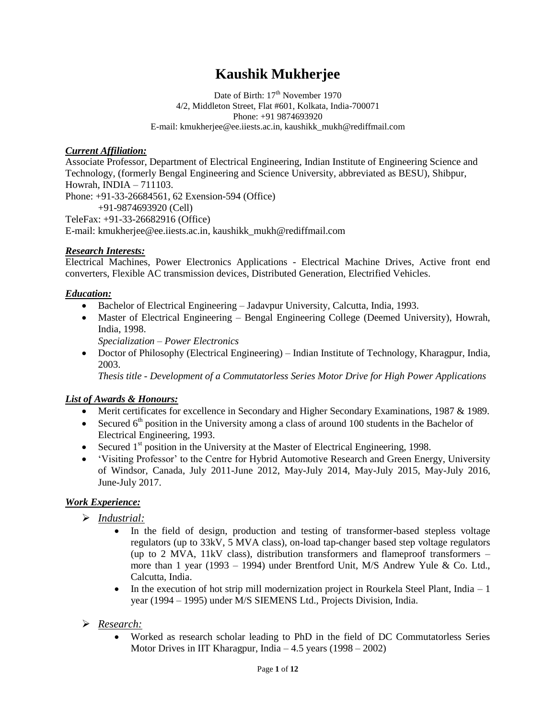# **Kaushik Mukherjee**

Date of Birth:  $17<sup>th</sup>$  November 1970 4/2, Middleton Street, Flat #601, Kolkata, India-700071 Phone: +91 9874693920 E-mail: kmukherjee@ee.iiests.ac.in, [kaushikk\\_mukh@rediffmail.com](mailto:kaushikk_mukh@rediffmail.com)

#### *Current Affiliation:*

Associate Professor, Department of Electrical Engineering, Indian Institute of Engineering Science and Technology, (formerly Bengal Engineering and Science University, abbreviated as BESU), Shibpur, Howrah, INDIA – 711103. Phone: +91-33-26684561, 62 Exension-594 (Office)

+91-9874693920 (Cell)

TeleFax: +91-33-26682916 (Office)

E-mail[: kmukherjee@ee.iiests.ac.in,](mailto:kmukherjee@ee.iiests.ac.in) [kaushikk\\_mukh@rediffmail.com](mailto:kaushikk_mukh@rediffmail.com)

#### *Research Interests:*

Electrical Machines, Power Electronics Applications - Electrical Machine Drives, Active front end converters, Flexible AC transmission devices, Distributed Generation, Electrified Vehicles.

#### *Education:*

- Bachelor of Electrical Engineering Jadavpur University, Calcutta, India, 1993.
- Master of Electrical Engineering Bengal Engineering College (Deemed University), Howrah, India, 1998.

*Specialization – Power Electronics*

 Doctor of Philosophy (Electrical Engineering) – Indian Institute of Technology, Kharagpur, India, 2003.

*Thesis title - Development of a Commutatorless Series Motor Drive for High Power Applications*

# *List of Awards & Honours:*

- Merit certificates for excellence in Secondary and Higher Secondary Examinations, 1987 & 1989.
- Secured  $6<sup>th</sup>$  position in the University among a class of around 100 students in the Bachelor of Electrical Engineering, 1993.
- Secured  $1<sup>st</sup>$  position in the University at the Master of Electrical Engineering, 1998.
- "Visiting Professor" to the Centre for Hybrid Automotive Research and Green Energy, University of Windsor, Canada, July 2011-June 2012, May-July 2014, May-July 2015, May-July 2016, June-July 2017.

# *Work Experience:*

- *Industrial:*
	- In the field of design, production and testing of transformer-based stepless voltage regulators (up to 33kV, 5 MVA class), on-load tap-changer based step voltage regulators (up to 2 MVA, 11kV class), distribution transformers and flameproof transformers – more than 1 year (1993 – 1994) under Brentford Unit, M/S Andrew Yule & Co. Ltd., Calcutta, India.
	- In the execution of hot strip mill modernization project in Rourkela Steel Plant, India  $-1$ year (1994 – 1995) under M/S SIEMENS Ltd., Projects Division, India.
- *Research:*
	- Worked as research scholar leading to PhD in the field of DC Commutatorless Series Motor Drives in IIT Kharagpur, India – 4.5 years (1998 – 2002)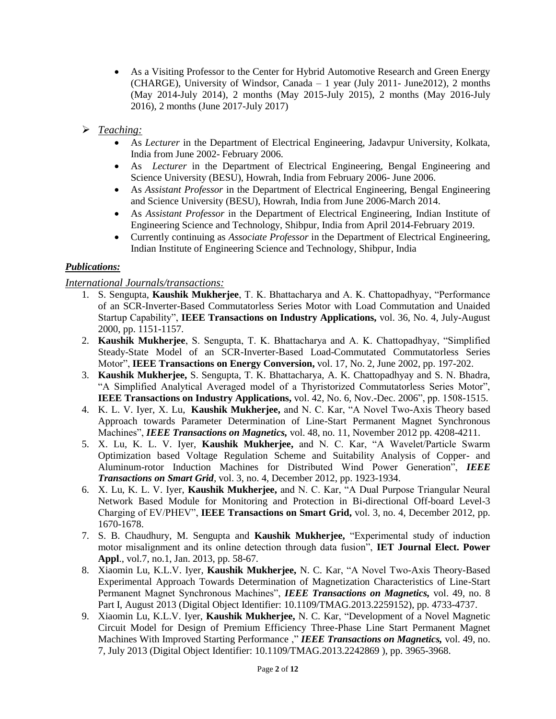- As a Visiting Professor to the Center for Hybrid Automotive Research and Green Energy (CHARGE), University of Windsor, Canada – 1 year (July 2011- June2012), 2 months (May 2014-July 2014), 2 months (May 2015-July 2015), 2 months (May 2016-July 2016), 2 months (June 2017-July 2017)
- *Teaching:*
	- As *Lecturer* in the Department of Electrical Engineering, Jadavpur University, Kolkata, India from June 2002- February 2006.
	- As *Lecturer* in the Department of Electrical Engineering, Bengal Engineering and Science University (BESU), Howrah, India from February 2006- June 2006.
	- As *Assistant Professor* in the Department of Electrical Engineering, Bengal Engineering and Science University (BESU), Howrah, India from June 2006-March 2014.
	- As *Assistant Professor* in the Department of Electrical Engineering, Indian Institute of Engineering Science and Technology, Shibpur, India from April 2014-February 2019.
	- Currently continuing as *Associate Professor* in the Department of Electrical Engineering, Indian Institute of Engineering Science and Technology, Shibpur, India

# *Publications:*

# *International Journals/transactions:*

- 1. S. Sengupta, **Kaushik Mukherjee**, T. K. Bhattacharya and A. K. Chattopadhyay, "Performance of an SCR-Inverter-Based Commutatorless Series Motor with Load Commutation and Unaided Startup Capability", **IEEE Transactions on Industry Applications,** vol. 36, No. 4, July-August 2000, pp. 1151-1157.
- 2. **Kaushik Mukherjee**, S. Sengupta, T. K. Bhattacharya and A. K. Chattopadhyay, "Simplified Steady-State Model of an SCR-Inverter-Based Load-Commutated Commutatorless Series Motor", **IEEE Transactions on Energy Conversion,** vol. 17, No. 2, June 2002, pp. 197-202.
- 3. **Kaushik Mukherjee,** S. Sengupta, T. K. Bhattacharya, A. K. Chattopadhyay and S. N. Bhadra, "A Simplified Analytical Averaged model of a Thyristorized Commutatorless Series Motor", **IEEE Transactions on Industry Applications,** vol. 42, No. 6, Nov.-Dec. 2006", pp. 1508-1515.
- 4. K. L. V. Iyer, X. Lu, **Kaushik Mukherjee,** and N. C. Kar, "A Novel Two-Axis Theory based Approach towards Parameter Determination of Line-Start Permanent Magnet Synchronous Machines", *IEEE Transactions on Magnetics*, vol. 48, no. 11, November 2012 pp. 4208-4211.
- 5. X. Lu, K. L. V. Iyer, **Kaushik Mukherjee,** and N. C. Kar, "A Wavelet/Particle Swarm Optimization based Voltage Regulation Scheme and Suitability Analysis of Copper- and Aluminum-rotor Induction Machines for Distributed Wind Power Generation", *IEEE Transactions on Smart Grid,* vol. 3, no. 4, December 2012, pp. 1923-1934.
- 6. X. Lu, K. L. V. Iyer, **Kaushik Mukherjee,** and N. C. Kar, "A Dual Purpose Triangular Neural Network Based Module for Monitoring and Protection in Bi-directional Off-board Level-3 Charging of EV/PHEV", **IEEE Transactions on Smart Grid,** vol. 3, no. 4, December 2012, pp. 1670-1678.
- 7. S. B. Chaudhury, M. Sengupta and **Kaushik Mukherjee,** "Experimental study of induction motor misalignment and its online detection through data fusion", **IET Journal Elect. Power Appl**., vol.7, no.1, Jan. 2013, pp. 58-67.
- 8. [Xiaomin](http://ieeexplore.ieee.org.ezproxy.uwindsor.ca/search/searchresult.jsp?searchWithin=p_Authors:.QT.Xiaomin%20Lu.QT.&newsearch=true) Lu, [K.L.V.](http://ieeexplore.ieee.org.ezproxy.uwindsor.ca/search/searchresult.jsp?searchWithin=p_Authors:.QT.Iyer,%20K.L.V..QT.&newsearch=true) Iyer, **Kaushik [Mukherjee,](http://ieeexplore.ieee.org.ezproxy.uwindsor.ca/search/searchresult.jsp?searchWithin=p_Authors:.QT.Mukherjee,%20K..QT.&newsearch=true)** N. C. [Kar,](http://ieeexplore.ieee.org.ezproxy.uwindsor.ca/search/searchresult.jsp?searchWithin=p_Authors:.QT.Kar,%20N.C..QT.&newsearch=true) "A Novel Two-Axis Theory-Based Experimental Approach Towards Determination of Magnetization Characteristics of Line-Start Permanent Magnet Synchronous Machines", *IEEE Transactions on Magnetics,* vol. 49, no. 8 Part I, August 2013 (Digital Object Identifier: [10.1109/TMAG.2013.2259152\), pp. 4733-4737.](http://dx.doi.org.ezproxy.uwindsor.ca/10.1109/TMAG.2013.2259152)
- 9. [Xiaomin](http://ieeexplore.ieee.org.ezproxy.uwindsor.ca/search/searchresult.jsp?searchWithin=p_Authors:.QT.Xiaomin%20Lu.QT.&newsearch=true) Lu, [K.L.V.](http://ieeexplore.ieee.org.ezproxy.uwindsor.ca/search/searchresult.jsp?searchWithin=p_Authors:.QT.Iyer,%20K.L.V..QT.&newsearch=true) Iyer, **Kaushik [Mukherjee,](http://ieeexplore.ieee.org.ezproxy.uwindsor.ca/search/searchresult.jsp?searchWithin=p_Authors:.QT.Mukherjee,%20K..QT.&newsearch=true)** N. C. [Kar,](http://ieeexplore.ieee.org.ezproxy.uwindsor.ca/search/searchresult.jsp?searchWithin=p_Authors:.QT.Kar,%20N.C..QT.&newsearch=true) ["Development of a Novel Magnetic](http://ieeexplore.ieee.org.ezproxy.uwindsor.ca/xpl/articleDetails.jsp?tp=&arnumber=6559067&queryText%3Dlu+xiaomin)  [Circuit Model for Design of Premium Efficiency Three-Phase Line Start Permanent Magnet](http://ieeexplore.ieee.org.ezproxy.uwindsor.ca/xpl/articleDetails.jsp?tp=&arnumber=6559067&queryText%3Dlu+xiaomin)  [Machines With Improved Starting Performance ,](http://ieeexplore.ieee.org.ezproxy.uwindsor.ca/xpl/articleDetails.jsp?tp=&arnumber=6559067&queryText%3Dlu+xiaomin)" *IEEE Transactions on Magnetics,* vol. 49, no. 7, July 2013 (Digital Object Identifier: [10.1109/TMAG.2013.2242869 \)](http://dx.doi.org.ezproxy.uwindsor.ca/10.1109/TMAG.2013.2242869), pp. 3965-3968.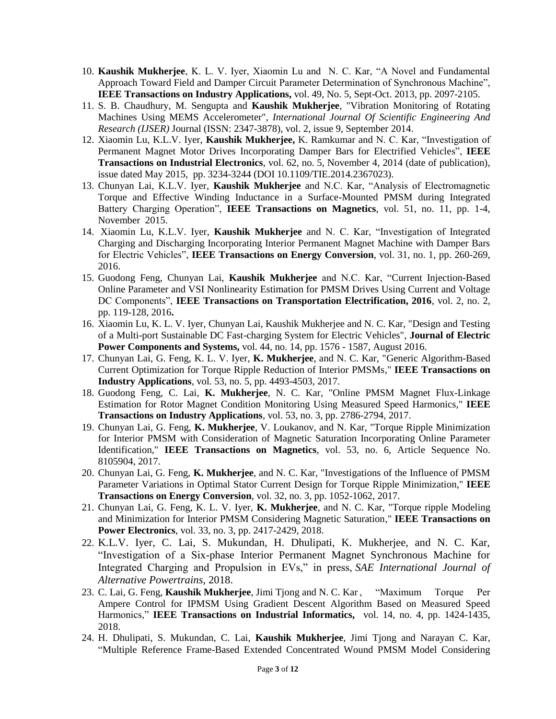- 10. **Kaushik Mukherjee**, K. L. V. Iyer, Xiaomin Lu and N. C. Kar, "A Novel and Fundamental Approach Toward Field and Damper Circuit Parameter Determination of Synchronous Machine", **IEEE Transactions on Industry Applications,** vol. 49, No. 5, Sept-Oct. 2013, pp. 2097-2105.
- 11. S. B. Chaudhury, M. Sengupta and **Kaushik Mukherjee**, "Vibration Monitoring of Rotating Machines Using MEMS Accelerometer", *International Journal Of Scientific Engineering And Research (IJSER)* Journal (ISSN: 2347-3878), vol. 2, issue 9, September 2014.
- 12. Xiaomin Lu, K.L.V. Iyer, **Kaushik Mukherjee,** K. Ramkumar and N. C. Kar, "Investigation of Permanent Magnet Motor Drives Incorporating Damper Bars for Electrified Vehicles", **IEEE Transactions on Industrial Electronics**, vol. 62, no. 5, November 4, 2014 (date of publication), issue dated May 2015, pp. 3234-3244 (DOI 10.1109/TIE.2014.2367023).
- 13. Chunyan Lai, K.L.V. Iyer, **Kaushik Mukherjee** and N.C. Kar, "Analysis of Electromagnetic Torque and Effective Winding Inductance in a Surface-Mounted PMSM during Integrated Battery Charging Operation", **IEEE Transactions on Magnetics**, vol. 51, no. 11, pp. 1-4, November 2015.
- 14. Xiaomin Lu, K.L.V. Iyer, **Kaushik Mukherjee** and N. C. Kar, "Investigation of Integrated Charging and Discharging Incorporating Interior Permanent Magnet Machine with Damper Bars for Electric Vehicles", **IEEE Transactions on Energy Conversion**, vol. 31, no. 1, pp. 260-269, 2016.
- 15. Guodong Feng, Chunyan Lai, **Kaushik Mukherjee** and N.C. Kar, "Current Injection-Based Online Parameter and VSI Nonlinearity Estimation for PMSM Drives Using Current and Voltage DC Components", **IEEE Transactions on Transportation Electrification, 2016**, vol. 2, no. 2, pp. 119-128, 2016**.**
- 16. Xiaomin Lu, K. L. V. Iyer, Chunyan Lai, Kaushik Mukherjee and N. C. Kar, "Design and Testing of a Multi-port Sustainable DC Fast-charging System for Electric Vehicles", **Journal of Electric Power Components and Systems,** vol. 44, no. 14, pp. 1576 - 1587, August 2016.
- 17. Chunyan Lai, G. Feng, K. L. V. Iyer, **K. Mukherjee**, and N. C. Kar, "Generic Algorithm-Based Current Optimization for Torque Ripple Reduction of Interior PMSMs," **IEEE Transactions on Industry Applications**, vol. 53, no. 5, pp. 4493-4503, 2017.
- 18. Guodong Feng, C. Lai, **K. Mukherjee**, N. C. Kar, "Online PMSM Magnet Flux-Linkage Estimation for Rotor Magnet Condition Monitoring Using Measured Speed Harmonics," **IEEE Transactions on Industry Applications**, vol. 53, no. 3, pp. 2786-2794, 2017.
- 19. Chunyan Lai, G. Feng, **K. Mukherjee**, V. Loukanov, and N. Kar, "Torque Ripple Minimization for Interior PMSM with Consideration of Magnetic Saturation Incorporating Online Parameter Identification," **IEEE Transactions on Magnetics**, vol. 53, no. 6, Article Sequence No. 8105904, 2017.
- 20. Chunyan Lai, G. Feng, **K. Mukherjee**, and N. C. Kar, "Investigations of the Influence of PMSM Parameter Variations in Optimal Stator Current Design for Torque Ripple Minimization," **IEEE Transactions on Energy Conversion**, vol. 32, no. 3, pp. 1052-1062, 2017.
- 21. Chunyan Lai, G. Feng, K. L. V. Iyer, **K. Mukherjee**, and N. C. Kar, "Torque ripple Modeling and Minimization for Interior PMSM Considering Magnetic Saturation," **IEEE Transactions on Power Electronics**, vol. 33, no. 3, pp. 2417-2429, 2018.
- 22. K.L.V. Iyer, C. Lai, S. Mukundan, H. Dhulipati, K. Mukherjee, and N. C. Kar, "Investigation of a Six-phase Interior Permanent Magnet Synchronous Machine for Integrated Charging and Propulsion in EVs," in press, *SAE International Journal of Alternative Powertrains*, 2018.
- 23. C. Lai, G. Feng, **Kaushik Mukherjee**, Jimi Tjong and N. C. Kar , "Maximum Torque Per Ampere Control for IPMSM Using Gradient Descent Algorithm Based on Measured Speed Harmonics," **IEEE Transactions on Industrial Informatics,** vol. 14, no. 4, pp. 1424-1435, 2018.
- 24. H. Dhulipati, S. Mukundan, C. Lai, **Kaushik Mukherjee**, Jimi Tjong and Narayan C. Kar, "Multiple Reference Frame-Based Extended Concentrated Wound PMSM Model Considering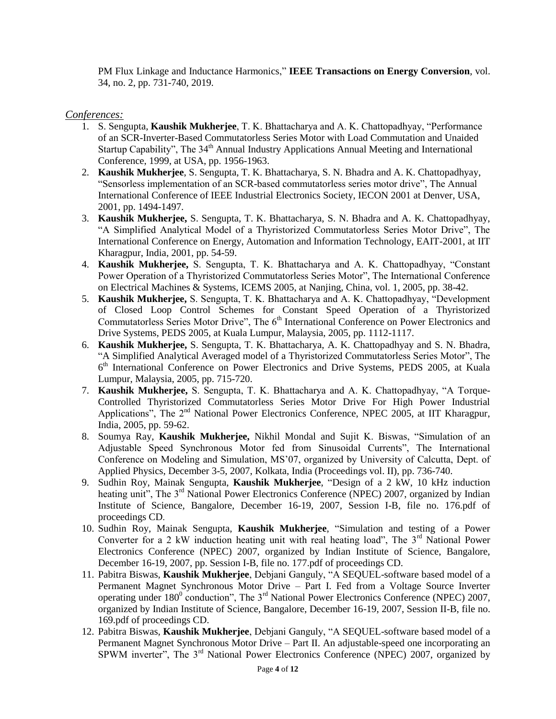PM Flux Linkage and Inductance Harmonics," **IEEE Transactions on Energy Conversion**, vol. 34, no. 2, pp. 731-740, 2019.

#### *Conferences:*

- 1. S. Sengupta, **Kaushik Mukherjee**, T. K. Bhattacharya and A. K. Chattopadhyay, "Performance of an SCR-Inverter-Based Commutatorless Series Motor with Load Commutation and Unaided Startup Capability", The 34<sup>th</sup> Annual Industry Applications Annual Meeting and International Conference, 1999, at USA, pp. 1956-1963.
- 2. **Kaushik Mukherjee**, S. Sengupta, T. K. Bhattacharya, S. N. Bhadra and A. K. Chattopadhyay, "Sensorless implementation of an SCR-based commutatorless series motor drive", The Annual International Conference of IEEE Industrial Electronics Society, IECON 2001 at Denver, USA, 2001, pp. 1494-1497.
- 3. **Kaushik Mukherjee,** S. Sengupta, T. K. Bhattacharya, S. N. Bhadra and A. K. Chattopadhyay, "A Simplified Analytical Model of a Thyristorized Commutatorless Series Motor Drive", The International Conference on Energy, Automation and Information Technology, EAIT-2001, at IIT Kharagpur, India, 2001, pp. 54-59.
- 4. **Kaushik Mukherjee,** S. Sengupta, T. K. Bhattacharya and A. K. Chattopadhyay, "Constant Power Operation of a Thyristorized Commutatorless Series Motor", The International Conference on Electrical Machines & Systems, ICEMS 2005, at Nanjing, China, vol. 1, 2005, pp. 38-42.
- 5. **Kaushik Mukherjee,** S. Sengupta, T. K. Bhattacharya and A. K. Chattopadhyay, "Development of Closed Loop Control Schemes for Constant Speed Operation of a Thyristorized Commutatorless Series Motor Drive", The 6<sup>th</sup> International Conference on Power Electronics and Drive Systems, PEDS 2005, at Kuala Lumpur, Malaysia, 2005, pp. 1112-1117.
- 6. **Kaushik Mukherjee,** S. Sengupta, T. K. Bhattacharya, A. K. Chattopadhyay and S. N. Bhadra, "A Simplified Analytical Averaged model of a Thyristorized Commutatorless Series Motor", The 6<sup>th</sup> International Conference on Power Electronics and Drive Systems, PEDS 2005, at Kuala Lumpur, Malaysia, 2005, pp. 715-720.
- 7. **Kaushik Mukherjee,** S. Sengupta, T. K. Bhattacharya and A. K. Chattopadhyay, "A Torque-Controlled Thyristorized Commutatorless Series Motor Drive For High Power Industrial Applications", The  $2<sup>nd</sup>$  National Power Electronics Conference, NPEC 2005, at IIT Kharagpur, India, 2005, pp. 59-62.
- 8. Soumya Ray, **Kaushik Mukherjee,** Nikhil Mondal and Sujit K. Biswas, "Simulation of an Adjustable Speed Synchronous Motor fed from Sinusoidal Currents", The International Conference on Modeling and Simulation, MS"07, organized by University of Calcutta, Dept. of Applied Physics, December 3-5, 2007, Kolkata, India (Proceedings vol. II), pp. 736-740.
- 9. Sudhin Roy, Mainak Sengupta, **Kaushik Mukherjee**, "Design of a 2 kW, 10 kHz induction heating unit", The 3<sup>rd</sup> National Power Electronics Conference (NPEC) 2007, organized by Indian Institute of Science, Bangalore, December 16-19, 2007, Session I-B, file no. 176.pdf of proceedings CD.
- 10. Sudhin Roy, Mainak Sengupta, **Kaushik Mukherjee**, "Simulation and testing of a Power Converter for a 2 kW induction heating unit with real heating load", The  $3<sup>rd</sup>$  National Power Electronics Conference (NPEC) 2007, organized by Indian Institute of Science, Bangalore, December 16-19, 2007, pp. Session I-B, file no. 177.pdf of proceedings CD.
- 11. Pabitra Biswas, **Kaushik Mukherjee**, Debjani Ganguly, "A SEQUEL-software based model of a Permanent Magnet Synchronous Motor Drive – Part I. Fed from a Voltage Source Inverter operating under  $180^0$  conduction", The  $3<sup>rd</sup>$  National Power Electronics Conference (NPEC) 2007, organized by Indian Institute of Science, Bangalore, December 16-19, 2007, Session II-B, file no. 169.pdf of proceedings CD.
- 12. Pabitra Biswas, **Kaushik Mukherjee**, Debjani Ganguly, "A SEQUEL-software based model of a Permanent Magnet Synchronous Motor Drive – Part II. An adjustable-speed one incorporating an SPWM inverter", The 3<sup>rd</sup> National Power Electronics Conference (NPEC) 2007, organized by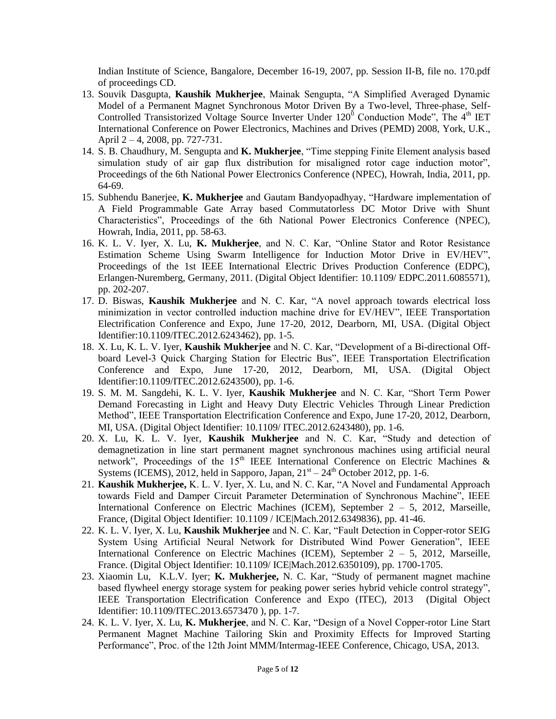Indian Institute of Science, Bangalore, December 16-19, 2007, pp. Session II-B, file no. 170.pdf of proceedings CD.

- 13. Souvik Dasgupta, **Kaushik Mukherjee**, Mainak Sengupta, "A Simplified Averaged Dynamic Model of a Permanent Magnet Synchronous Motor Driven By a Two-level, Three-phase, Self-Controlled Transistorized Voltage Source Inverter Under  $120^{\circ}$  Conduction Mode", The 4<sup>th</sup> IET International Conference on Power Electronics, Machines and Drives (PEMD) 2008, York, U.K., April 2 – 4, 2008, pp. 727-731.
- 14. S. B. Chaudhury, M. Sengupta and **K. Mukherjee**, "Time stepping Finite Element analysis based simulation study of air gap flux distribution for misaligned rotor cage induction motor", Proceedings of the 6th National Power Electronics Conference (NPEC), Howrah, India, 2011, pp. 64-69.
- 15. Subhendu Banerjee, **K. Mukherjee** and Gautam Bandyopadhyay, "Hardware implementation of A Field Programmable Gate Array based Commutatorless DC Motor Drive with Shunt Characteristics", Proceedings of the 6th National Power Electronics Conference (NPEC), Howrah, India, 2011, pp. 58-63.
- 16. K. L. V. Iyer, X. Lu, **K. Mukherjee**, and N. C. Kar, "Online Stator and Rotor Resistance Estimation Scheme Using Swarm Intelligence for Induction Motor Drive in EV/HEV", Proceedings of the 1st IEEE International Electric Drives Production Conference (EDPC), Erlangen-Nuremberg, Germany, 2011. (Digital Object Identifier: 10.1109/ EDPC.2011.6085571), pp. 202-207.
- 17. D. Biswas, **Kaushik Mukherjee** and N. C. Kar, "A novel approach towards electrical loss minimization in vector controlled induction machine drive for EV/HEV", IEEE Transportation Electrification Conference and Expo, June 17-20, 2012, Dearborn, MI, USA. (Digital Object Identifier:10.1109/ITEC.2012.6243462), pp. 1-5.
- 18. X. Lu, K. L. V. Iyer, **Kaushik Mukherjee** and N. C. Kar, "Development of a Bi-directional Offboard Level-3 Quick Charging Station for Electric Bus", IEEE Transportation Electrification Conference and Expo, June 17-20, 2012, Dearborn, MI, USA. (Digital Object Identifier:10.1109/ITEC.2012.6243500), pp. 1-6.
- 19. S. M. M. Sangdehi, K. L. V. Iyer, **Kaushik Mukherjee** and N. C. Kar, "Short Term Power Demand Forecasting in Light and Heavy Duty Electric Vehicles Through Linear Prediction Method", IEEE Transportation Electrification Conference and Expo, June 17-20, 2012, Dearborn, MI, USA. (Digital Object Identifier: 10.1109/ ITEC.2012.6243480), pp. 1-6.
- 20. X. Lu, K. L. V. Iyer, **Kaushik Mukherjee** and N. C. Kar, "Study and detection of demagnetization in line start permanent magnet synchronous machines using artificial neural network", Proceedings of the 15<sup>th</sup> IEEE International Conference on Electric Machines & Systems (ICEMS), 2012, held in Sapporo, Japan,  $21<sup>st</sup> - 24<sup>th</sup>$  October 2012, pp. 1-6.
- 21. **Kaushik Mukherjee,** K. L. V. Iyer, X. Lu, and N. C. Kar, "A Novel and Fundamental Approach towards Field and Damper Circuit Parameter Determination of Synchronous Machine", IEEE International Conference on Electric Machines (ICEM), September 2 – 5, 2012, Marseille, France, (Digital Object Identifier: 10.1109 / ICE|Mach.2012.6349836), pp. 41-46.
- 22. K. L. V. Iyer, X. Lu, **Kaushik Mukherjee** and N. C. Kar, "Fault Detection in Copper-rotor SEIG System Using Artificial Neural Network for Distributed Wind Power Generation", IEEE International Conference on Electric Machines (ICEM), September 2 – 5, 2012, Marseille, France. (Digital Object Identifier: 10.1109/ ICE|Mach.2012.6350109), pp. 1700-1705.
- 23. [Xiaomin](http://ieeexplore.ieee.org.ezproxy.uwindsor.ca/search/searchresult.jsp?searchWithin=p_Authors:.QT.Xiaomin%20Lu.QT.&newsearch=true) Lu, [K.L.V.](http://ieeexplore.ieee.org.ezproxy.uwindsor.ca/search/searchresult.jsp?searchWithin=p_Authors:.QT.Iyer,%20K.L.V..QT.&newsearch=true) Iyer; **K. [Mukherjee,](http://ieeexplore.ieee.org.ezproxy.uwindsor.ca/search/searchresult.jsp?searchWithin=p_Authors:.QT.Mukherjee,%20K..QT.&newsearch=true)** N. C. [Kar,](http://ieeexplore.ieee.org.ezproxy.uwindsor.ca/search/searchresult.jsp?searchWithin=p_Authors:.QT.Kar,%20N.C..QT.&newsearch=true) ["Study of permanent magnet machine](http://ieeexplore.ieee.org.ezproxy.uwindsor.ca/xpl/articleDetails.jsp?tp=&arnumber=6573470&queryText%3Dlu+xiaomin)  [based flywheel energy storage system for peaking power series hybrid vehicle control strategy"](http://ieeexplore.ieee.org.ezproxy.uwindsor.ca/xpl/articleDetails.jsp?tp=&arnumber=6573470&queryText%3Dlu+xiaomin), IEEE [Transportation Electrification Conference and Expo \(ITEC\), 2013](http://ieeexplore.ieee.org.ezproxy.uwindsor.ca/xpl/mostRecentIssue.jsp?punumber=6569392) (Digital Object Identifier[: 10.1109/ITEC.2013.6573470 \)](http://dx.doi.org.ezproxy.uwindsor.ca/10.1109/ITEC.2013.6573470), pp. 1-7.
- 24. K. L. V. Iyer, X. Lu, **K. Mukherjee**, and N. C. Kar, "Design of a Novel Copper-rotor Line Start Permanent Magnet Machine Tailoring Skin and Proximity Effects for Improved Starting Performance", Proc. of the 12th Joint MMM/Intermag-IEEE Conference, Chicago, USA, 2013.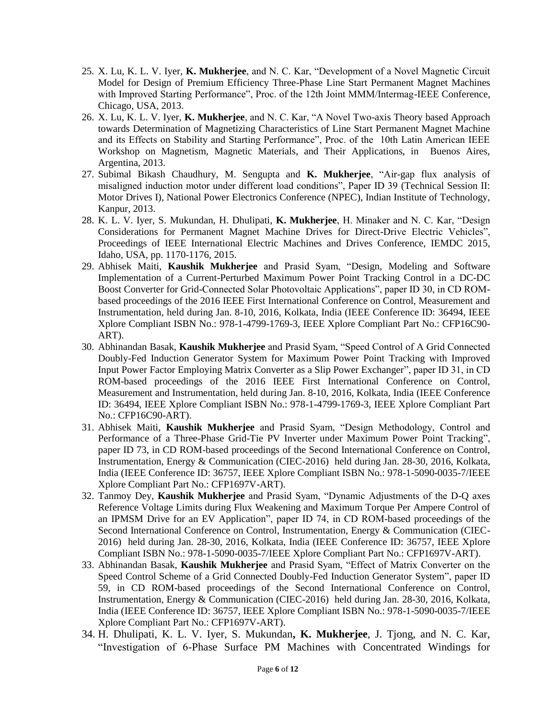- 25. X. Lu, K. L. V. Iyer, **K. Mukherjee**, and N. C. Kar, "Development of a Novel Magnetic Circuit Model for Design of Premium Efficiency Three-Phase Line Start Permanent Magnet Machines with Improved Starting Performance", Proc. of the 12th Joint MMM/Intermag-IEEE Conference, Chicago, USA, 2013.
- 26. X. Lu, K. L. V. Iyer, **K. Mukherjee**, and N. C. Kar, "A Novel Two-axis Theory based Approach towards Determination of Magnetizing Characteristics of Line Start Permanent Magnet Machine and its Effects on Stability and Starting Performance", Proc. of the 10th Latin American IEEE Workshop on Magnetism, Magnetic Materials, and Their Applications, in Buenos Aires, Argentina, 2013.
- 27. Subimal Bikash Chaudhury, M. Sengupta and **K. Mukherjee**, "Air-gap flux analysis of misaligned induction motor under different load conditions", Paper ID 39 (Technical Session II: Motor Drives I), National Power Electronics Conference (NPEC), Indian Institute of Technology, Kanpur, 2013.
- 28. K. L. V. Iyer, S. Mukundan, H. Dhulipati, **K. Mukherjee**, H. Minaker and N. C. Kar, "Design Considerations for Permanent Magnet Machine Drives for Direct-Drive Electric Vehicles", Proceedings of IEEE International Electric Machines and Drives Conference, IEMDC 2015, Idaho, USA, pp. 1170-1176, 2015.
- 29. Abhisek Maiti, **Kaushik Mukherjee** and Prasid Syam, "Design, Modeling and Software Implementation of a Current-Perturbed Maximum Power Point Tracking Control in a DC-DC Boost Converter for Grid-Connected Solar Photovoltaic Applications", paper ID 30, in CD ROMbased proceedings of the 2016 IEEE First International Conference on Control, Measurement and Instrumentation, held during Jan. 8-10, 2016, Kolkata, India (IEEE Conference ID: 36494, IEEE Xplore Compliant ISBN No.: 978-1-4799-1769-3, IEEE Xplore Compliant Part No.: CFP16C90- ART).
- 30. Abhinandan Basak, **Kaushik Mukherjee** and Prasid Syam, "Speed Control of A Grid Connected Doubly-Fed Induction Generator System for Maximum Power Point Tracking with Improved Input Power Factor Employing Matrix Converter as a Slip Power Exchanger", paper ID 31, in CD ROM-based proceedings of the 2016 IEEE First International Conference on Control, Measurement and Instrumentation, held during Jan. 8-10, 2016, Kolkata, India (IEEE Conference ID: 36494, IEEE Xplore Compliant ISBN No.: 978-1-4799-1769-3, IEEE Xplore Compliant Part No.: CFP16C90-ART).
- 31. Abhisek Maiti, **Kaushik Mukherjee** and Prasid Syam, "Design Methodology, Control and Performance of a Three-Phase Grid-Tie PV Inverter under Maximum Power Point Tracking", paper ID 73, in CD ROM-based proceedings of the Second International Conference on Control, Instrumentation, Energy & Communication (CIEC-2016) held during Jan. 28-30, 2016, Kolkata, India (IEEE Conference ID: 36757, IEEE Xplore Compliant ISBN No.: 978-1-5090-0035-7/IEEE Xplore Compliant Part No.: CFP1697V-ART).
- 32. Tanmoy Dey, **Kaushik Mukherjee** and Prasid Syam, "Dynamic Adjustments of the D-Q axes Reference Voltage Limits during Flux Weakening and Maximum Torque Per Ampere Control of an IPMSM Drive for an EV Application", paper ID 74, in CD ROM-based proceedings of the Second International Conference on Control, Instrumentation, Energy & Communication (CIEC-2016) held during Jan. 28-30, 2016, Kolkata, India (IEEE Conference ID: 36757, IEEE Xplore Compliant ISBN No.: 978-1-5090-0035-7/IEEE Xplore Compliant Part No.: CFP1697V-ART).
- 33. Abhinandan Basak, **Kaushik Mukherjee** and Prasid Syam, "Effect of Matrix Converter on the Speed Control Scheme of a Grid Connected Doubly-Fed Induction Generator System", paper ID 59, in CD ROM-based proceedings of the Second International Conference on Control, Instrumentation, Energy & Communication (CIEC-2016) held during Jan. 28-30, 2016, Kolkata, India (IEEE Conference ID: 36757, IEEE Xplore Compliant ISBN No.: 978-1-5090-0035-7/IEEE Xplore Compliant Part No.: CFP1697V-ART).
- 34. H. Dhulipati, K. L. V. Iyer, S. Mukundan**, K. Mukherjee**, J. Tjong, and N. C. Kar, "Investigation of 6-Phase Surface PM Machines with Concentrated Windings for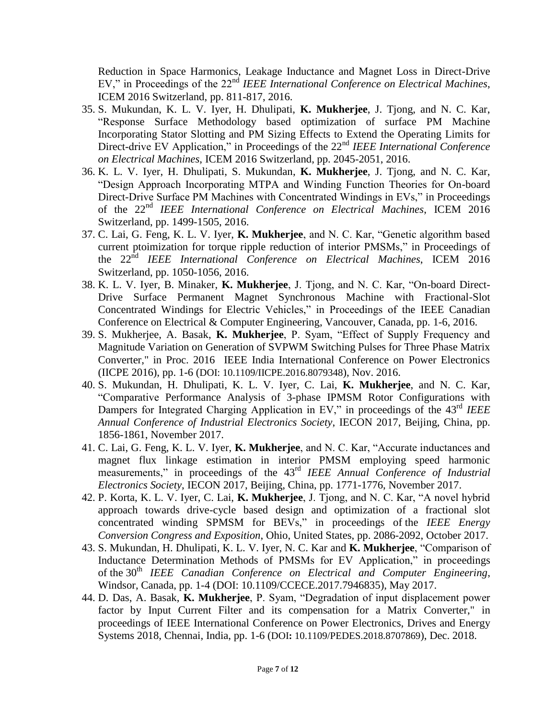Reduction in Space Harmonics, Leakage Inductance and Magnet Loss in Direct-Drive EV," in Proceedings of the 22nd *IEEE International Conference on Electrical Machines*, ICEM 2016 Switzerland, pp. 811-817, 2016.

- 35. S. Mukundan, K. L. V. Iyer, H. Dhulipati, **K. Mukherjee**, J. Tjong, and N. C. Kar, "Response Surface Methodology based optimization of surface PM Machine Incorporating Stator Slotting and PM Sizing Effects to Extend the Operating Limits for Direct-drive EV Application," in Proceedings of the 22<sup>nd</sup> *IEEE International Conference on Electrical Machines*, ICEM 2016 Switzerland, pp. 2045-2051, 2016.
- 36. K. L. V. Iyer, H. Dhulipati, S. Mukundan, **K. Mukherjee**, J. Tjong, and N. C. Kar, "Design Approach Incorporating MTPA and Winding Function Theories for On-board Direct-Drive Surface PM Machines with Concentrated Windings in EVs," in Proceedings of the 22nd *IEEE International Conference on Electrical Machines*, ICEM 2016 Switzerland, pp. 1499-1505, 2016.
- 37. C. Lai, G. Feng, K. L. V. Iyer, **K. Mukherjee**, and N. C. Kar, "Genetic algorithm based current ptoimization for torque ripple reduction of interior PMSMs," in Proceedings of the 22nd *IEEE International Conference on Electrical Machines*, ICEM 2016 Switzerland, pp. 1050-1056, 2016.
- 38. K. L. V. Iyer, B. Minaker, **K. Mukherjee**, J. Tjong, and N. C. Kar, "On-board Direct-Drive Surface Permanent Magnet Synchronous Machine with Fractional-Slot Concentrated Windings for Electric Vehicles," in Proceedings of the IEEE Canadian Conference on Electrical & Computer Engineering, Vancouver, Canada, pp. 1-6, 2016.
- 39. S. Mukherjee, A. Basak, **K. Mukherjee**, P. Syam, "Effect of Supply Frequency and Magnitude Variation on Generation of SVPWM Switching Pulses for Three Phase Matrix Converter," in Proc. 2016 IEEE India International Conference on Power Electronics (IICPE 2016), pp. 1-6 (DOI: [10.1109/IICPE.2016.8079348](https://doi.org/10.1109/IICPE.2016.8079348)), Nov. 2016.
- 40. S. Mukundan, H. Dhulipati, K. L. V. Iyer, C. Lai, **K. Mukherjee**, and N. C. Kar, "Comparative Performance Analysis of 3-phase IPMSM Rotor Configurations with Dampers for Integrated Charging Application in EV," in proceedings of the 43<sup>rd</sup> *IEEE Annual Conference of Industrial Electronics Society*, IECON 2017, Beijing, China, pp. 1856-1861, November 2017.
- 41. C. Lai, G. Feng, K. L. V. Iyer, **K. Mukherjee**, and N. C. Kar, "Accurate inductances and magnet flux linkage estimation in interior PMSM employing speed harmonic measurements," in proceedings of the 43rd *IEEE Annual Conference of Industrial Electronics Society*, IECON 2017, Beijing, China, pp. 1771-1776, November 2017.
- 42. P. Korta, K. L. V. Iyer, C. Lai, **K. Mukherjee**, J. Tjong, and N. C. Kar, "A novel hybrid approach towards drive-cycle based design and optimization of a fractional slot concentrated winding SPMSM for BEVs," in proceedings of the *IEEE Energy Conversion Congress and Exposition*, Ohio, United States, pp. 2086-2092, October 2017.
- 43. S. Mukundan, H. Dhulipati, K. L. V. Iyer, N. C. Kar and **K. Mukherjee**, "Comparison of Inductance Determination Methods of PMSMs for EV Application," in proceedings of the 30<sup>th</sup> *IEEE* Canadian Conference on Electrical and Computer Engineering, Windsor, Canada, pp. 1-4 (DOI: 10.1109/CCECE.2017.7946835), May 2017.
- 44. D. Das, A. Basak, **K. Mukherjee**, P. Syam, "Degradation of input displacement power factor by Input Current Filter and its compensation for a Matrix Converter," in proceedings of IEEE International Conference on Power Electronics, Drives and Energy Systems 2018, Chennai, India, pp. 1-6 (DOI**:** [10.1109/PEDES.2018.8707869](https://doi.org/10.1109/PEDES.2018.8707869)), Dec. 2018.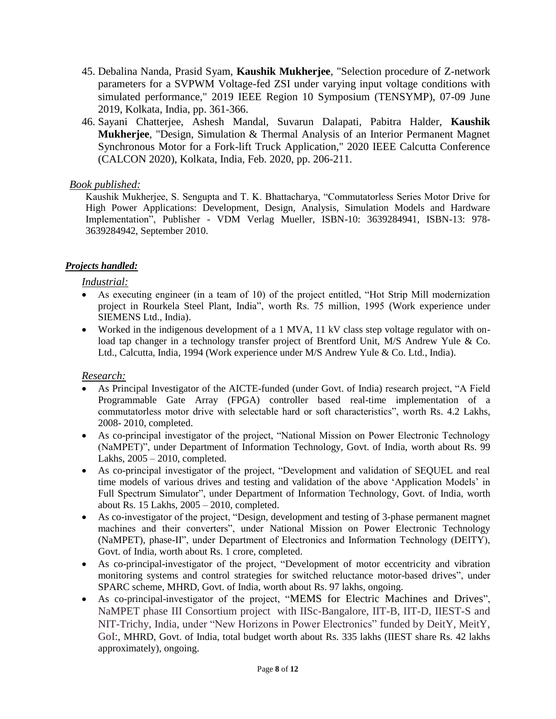- 45. Debalina Nanda, Prasid Syam, **Kaushik Mukherjee**, "Selection procedure of Z-network parameters for a SVPWM Voltage-fed ZSI under varying input voltage conditions with simulated performance," 2019 IEEE Region 10 Symposium (TENSYMP), 07-09 June 2019, Kolkata, India, pp. 361-366.
- 46. Sayani Chatterjee, Ashesh Mandal, Suvarun Dalapati, Pabitra Halder, **Kaushik Mukherjee**, "Design, Simulation & Thermal Analysis of an Interior Permanent Magnet Synchronous Motor for a Fork-lift Truck Application," 2020 IEEE Calcutta Conference (CALCON 2020), Kolkata, India, Feb. 2020, pp. 206-211.

# *Book published:*

Kaushik Mukherjee, S. Sengupta and T. K. Bhattacharya, "Commutatorless Series Motor Drive for High Power Applications: Development, Design, Analysis, Simulation Models and Hardware Implementation", Publisher - VDM Verlag Mueller, ISBN-10: 3639284941, ISBN-13: 978- 3639284942, September 2010.

# *Projects handled:*

*Industrial:*

- As executing engineer (in a team of 10) of the project entitled, "Hot Strip Mill modernization project in Rourkela Steel Plant, India", worth Rs. 75 million, 1995 (Work experience under SIEMENS Ltd., India).
- Worked in the indigenous development of a 1 MVA, 11 kV class step voltage regulator with onload tap changer in a technology transfer project of Brentford Unit, M/S Andrew Yule & Co. Ltd., Calcutta, India, 1994 (Work experience under M/S Andrew Yule & Co. Ltd., India).

# *Research:*

- As Principal Investigator of the AICTE-funded (under Govt. of India) research project, "A Field Programmable Gate Array (FPGA) controller based real-time implementation of a commutatorless motor drive with selectable hard or soft characteristics", worth Rs. 4.2 Lakhs, 2008- 2010, completed.
- As co-principal investigator of the project, "National Mission on Power Electronic Technology (NaMPET)", under Department of Information Technology, Govt. of India, worth about Rs. 99 Lakhs, 2005 – 2010, completed.
- As co-principal investigator of the project, "Development and validation of SEQUEL and real time models of various drives and testing and validation of the above "Application Models" in Full Spectrum Simulator", under Department of Information Technology, Govt. of India, worth about Rs. 15 Lakhs, 2005 – 2010, completed.
- As co-investigator of the project, "Design, development and testing of 3-phase permanent magnet machines and their converters", under National Mission on Power Electronic Technology (NaMPET), phase-II", under Department of Electronics and Information Technology (DEITY), Govt. of India, worth about Rs. 1 crore, completed.
- As co-principal-investigator of the project, "Development of motor eccentricity and vibration monitoring systems and control strategies for switched reluctance motor-based drives", under SPARC scheme, MHRD, Govt. of India, worth about Rs. 97 lakhs, ongoing.
- As co-principal-investigator of the project, "MEMS for Electric Machines and Drives", NaMPET phase III Consortium project with IISc-Bangalore, IIT-B, IIT-D, IIEST-S and NIT-Trichy, India, under "New Horizons in Power Electronics" funded by DeitY, MeitY, GoI:, MHRD, Govt. of India, total budget worth about Rs. 335 lakhs (IIEST share Rs. 42 lakhs approximately), ongoing.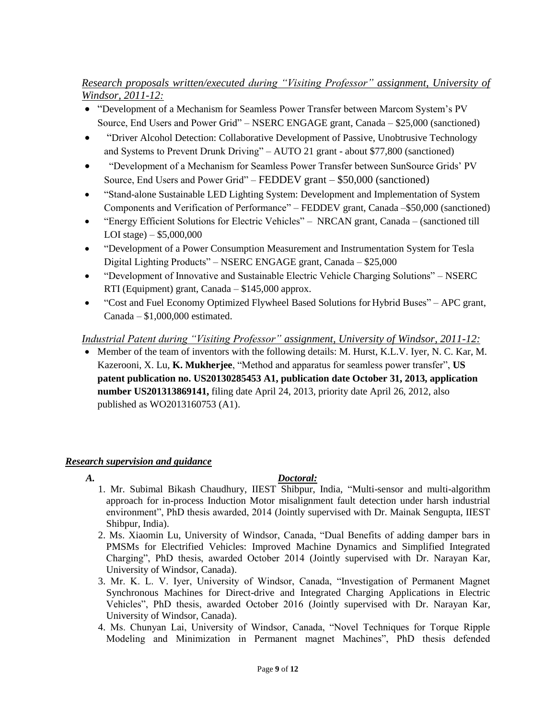# *Research proposals written/executed during "Visiting Professor" assignment, University of Windsor, 2011-12:*

- "Development of a Mechanism for Seamless Power Transfer between Marcom System"s PV Source, End Users and Power Grid" – NSERC ENGAGE grant, Canada – \$25,000 (sanctioned)
- "Driver Alcohol Detection: Collaborative Development of Passive, Unobtrusive Technology and Systems to Prevent Drunk Driving" – AUTO 21 grant - about \$77,800 (sanctioned)
- "Development of a Mechanism for Seamless Power Transfer between SunSource Grids" PV Source, End Users and Power Grid" – FEDDEV grant – \$50,000 (sanctioned)
- "Stand-alone Sustainable LED Lighting System: Development and Implementation of System Components and Verification of Performance" – FEDDEV grant, Canada –\$50,000 (sanctioned)
- "Energy Efficient Solutions for Electric Vehicles" NRCAN grant, Canada (sanctioned till LOI stage) – \$5,000,000
- "Development of a Power Consumption Measurement and Instrumentation System for Tesla Digital Lighting Products" – NSERC ENGAGE grant, Canada – \$25,000
- "Development of Innovative and Sustainable Electric Vehicle Charging Solutions" NSERC RTI (Equipment) grant, Canada – \$145,000 approx.
- "Cost and Fuel Economy Optimized Flywheel Based Solutions for Hybrid Buses" APC grant, Canada – \$1,000,000 estimated.

# *Industrial Patent during "Visiting Professor" assignment, University of Windsor, 2011-12:*

• Member of the team of inventors with the following details: M. Hurst, K.L.V. Iyer, N. C. Kar, M. Kazerooni, X. Lu, **K. Mukherjee**, "Method and apparatus for seamless power transfer", **US patent publication no. US20130285453 A1, publication date October 31, 2013, application number US201313869141,** filing date April 24, 2013, priority date April 26, 2012, also published as WO2013160753 (A1).

# *Research supervision and guidance*

# *A. Doctoral:*

- 1. Mr. Subimal Bikash Chaudhury, IIEST Shibpur, India, "Multi-sensor and multi-algorithm approach for in-process Induction Motor misalignment fault detection under harsh industrial environment", PhD thesis awarded, 2014 (Jointly supervised with Dr. Mainak Sengupta, IIEST Shibpur, India).
- 2. Ms. Xiaomin Lu, University of Windsor, Canada, "Dual Benefits of adding damper bars in PMSMs for Electrified Vehicles: Improved Machine Dynamics and Simplified Integrated Charging", PhD thesis, awarded October 2014 (Jointly supervised with Dr. Narayan Kar, University of Windsor, Canada).
- 3. Mr. K. L. V. Iyer, University of Windsor, Canada, "Investigation of Permanent Magnet Synchronous Machines for Direct-drive and Integrated Charging Applications in Electric Vehicles", PhD thesis, awarded October 2016 (Jointly supervised with Dr. Narayan Kar, University of Windsor, Canada).
- 4. Ms. Chunyan Lai, University of Windsor, Canada, "Novel Techniques for Torque Ripple Modeling and Minimization in Permanent magnet Machines", PhD thesis defended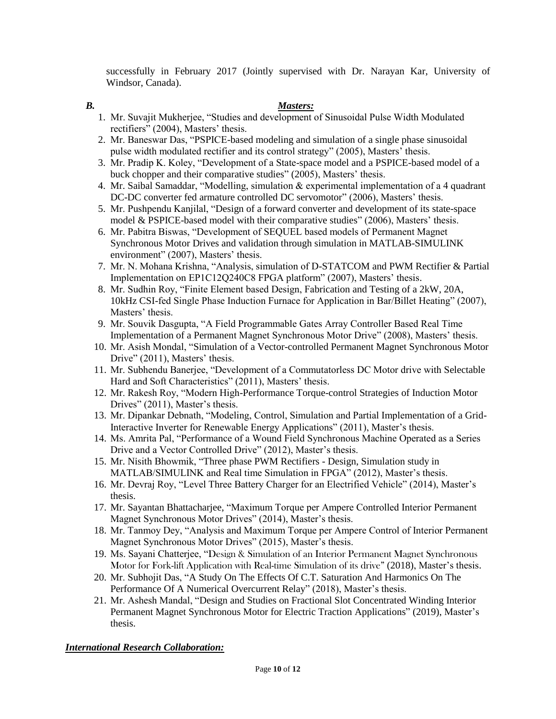successfully in February 2017 (Jointly supervised with Dr. Narayan Kar, University of Windsor, Canada).

# *B. Masters:*

- 1. Mr. Suvajit Mukherjee, "Studies and development of Sinusoidal Pulse Width Modulated rectifiers" (2004), Masters' thesis.
- 2. Mr. Baneswar Das, "PSPICE-based modeling and simulation of a single phase sinusoidal pulse width modulated rectifier and its control strategy" (2005), Masters' thesis.
- 3. Mr. Pradip K. Koley, "Development of a State-space model and a PSPICE-based model of a buck chopper and their comparative studies" (2005), Masters' thesis.
- 4. Mr. Saibal Samaddar, "Modelling, simulation & experimental implementation of a 4 quadrant DC-DC converter fed armature controlled DC servomotor" (2006), Masters' thesis.
- 5. Mr. Pushpendu Kanjilal, "Design of a forward converter and development of its state-space model & PSPICE-based model with their comparative studies" (2006), Masters' thesis.
- 6. Mr. Pabitra Biswas, "Development of SEQUEL based models of Permanent Magnet Synchronous Motor Drives and validation through simulation in MATLAB-SIMULINK environment" (2007), Masters' thesis.
- 7. Mr. N. Mohana Krishna, "Analysis, simulation of D-STATCOM and PWM Rectifier & Partial Implementation on EP1C12Q240C8 FPGA platform" (2007), Masters' thesis.
- 8. Mr. Sudhin Roy, "Finite Element based Design, Fabrication and Testing of a 2kW, 20A, 10kHz CSI-fed Single Phase Induction Furnace for Application in Bar/Billet Heating" (2007), Masters' thesis.
- 9. Mr. Souvik Dasgupta, "A Field Programmable Gates Array Controller Based Real Time Implementation of a Permanent Magnet Synchronous Motor Drive" (2008), Masters" thesis.
- 10. Mr. Asish Mondal, "Simulation of a Vector-controlled Permanent Magnet Synchronous Motor Drive" (2011), Masters' thesis.
- 11. Mr. Subhendu Banerjee, "Development of a Commutatorless DC Motor drive with Selectable Hard and Soft Characteristics" (2011), Masters' thesis.
- 12. Mr. Rakesh Roy, "Modern High-Performance Torque-control Strategies of Induction Motor Drives" (2011), Master's thesis.
- 13. Mr. Dipankar Debnath, "Modeling, Control, Simulation and Partial Implementation of a Grid-Interactive Inverter for Renewable Energy Applications" (2011), Master's thesis.
- 14. Ms. Amrita Pal, "Performance of a Wound Field Synchronous Machine Operated as a Series Drive and a Vector Controlled Drive" (2012), Master's thesis.
- 15. Mr. Nisith Bhowmik, "Three phase PWM Rectifiers Design, Simulation study in MATLAB/SIMULINK and Real time Simulation in FPGA" (2012), Master's thesis.
- 16. Mr. Devraj Roy, "Level Three Battery Charger for an Electrified Vehicle" (2014), Master"s thesis.
- 17. Mr. Sayantan Bhattacharjee, "Maximum Torque per Ampere Controlled Interior Permanent Magnet Synchronous Motor Drives" (2014), Master's thesis.
- 18. Mr. Tanmoy Dey, "Analysis and Maximum Torque per Ampere Control of Interior Permanent Magnet Synchronous Motor Drives" (2015), Master's thesis.
- 19. Ms. Sayani Chatterjee, "Design & Simulation of an Interior Permanent Magnet Synchronous Motor for Fork-lift Application with Real-time Simulation of its drive" (2018), Master"s thesis.
- 20. Mr. Subhojit Das, "A Study On The Effects Of C.T. Saturation And Harmonics On The Performance Of A Numerical Overcurrent Relay" (2018), Master's thesis.
- 21. Mr. Ashesh Mandal, "Design and Studies on Fractional Slot Concentrated Winding Interior Permanent Magnet Synchronous Motor for Electric Traction Applications" (2019), Master"s thesis.

# *International Research Collaboration:*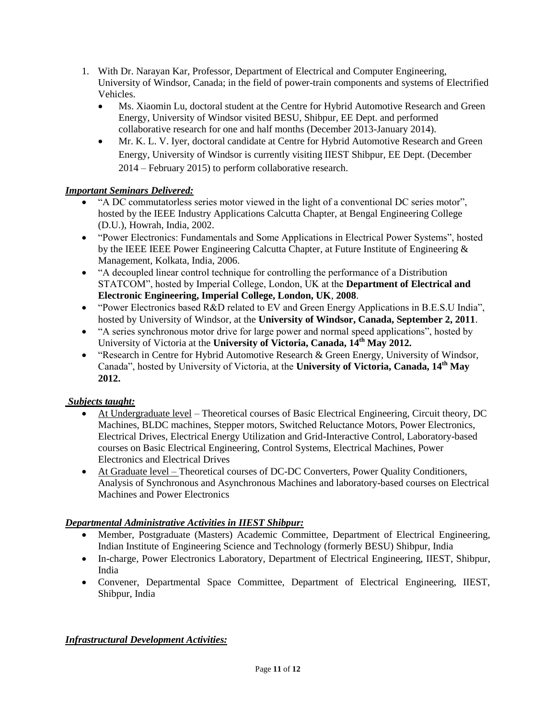- 1. With Dr. Narayan Kar, Professor, Department of Electrical and Computer Engineering, University of Windsor, Canada; in the field of power-train components and systems of Electrified Vehicles.
	- Ms. Xiaomin Lu, doctoral student at the Centre for Hybrid Automotive Research and Green Energy, University of Windsor visited BESU, Shibpur, EE Dept. and performed collaborative research for one and half months (December 2013-January 2014).
	- Mr. K. L. V. Iyer, doctoral candidate at Centre for Hybrid Automotive Research and Green Energy, University of Windsor is currently visiting IIEST Shibpur, EE Dept. (December 2014 – February 2015) to perform collaborative research.

# *Important Seminars Delivered:*

- "A DC commutatorless series motor viewed in the light of a conventional DC series motor", hosted by the IEEE Industry Applications Calcutta Chapter, at Bengal Engineering College (D.U.), Howrah, India, 2002.
- "Power Electronics: Fundamentals and Some Applications in Electrical Power Systems", hosted by the IEEE IEEE Power Engineering Calcutta Chapter, at Future Institute of Engineering & Management, Kolkata, India, 2006.
- "A decoupled linear control technique for controlling the performance of a Distribution STATCOM", hosted by Imperial College, London, UK at the **Department of Electrical and Electronic Engineering, Imperial College, London, UK**, **2008**.
- "Power Electronics based R&D related to EV and Green Energy Applications in B.E.S.U India", hosted by University of Windsor, at the **University of Windsor, Canada, September 2, 2011**.
- "A series synchronous motor drive for large power and normal speed applications", hosted by University of Victoria at the **University of Victoria, Canada, 14th May 2012.**
- "Research in Centre for Hybrid Automotive Research & Green Energy, University of Windsor, Canada", hosted by University of Victoria, at the **University of Victoria, Canada, 14th May 2012.**

# *Subjects taught:*

- At Undergraduate level Theoretical courses of Basic Electrical Engineering, Circuit theory, DC Machines, BLDC machines, Stepper motors, Switched Reluctance Motors, Power Electronics, Electrical Drives, Electrical Energy Utilization and Grid-Interactive Control, Laboratory-based courses on Basic Electrical Engineering, Control Systems, Electrical Machines, Power Electronics and Electrical Drives
- At Graduate level Theoretical courses of DC-DC Converters, Power Quality Conditioners, Analysis of Synchronous and Asynchronous Machines and laboratory-based courses on Electrical Machines and Power Electronics

# *Departmental Administrative Activities in IIEST Shibpur:*

- Member, Postgraduate (Masters) Academic Committee, Department of Electrical Engineering, Indian Institute of Engineering Science and Technology (formerly BESU) Shibpur, India
- In-charge, Power Electronics Laboratory, Department of Electrical Engineering, IIEST, Shibpur, India
- Convener, Departmental Space Committee, Department of Electrical Engineering, IIEST, Shibpur, India

# *Infrastructural Development Activities:*